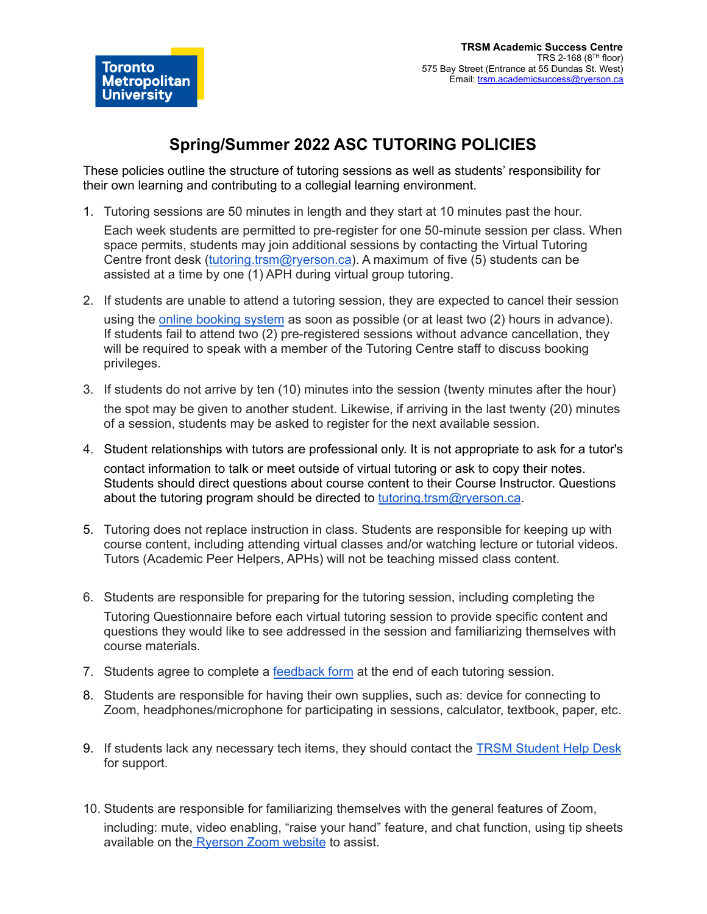Toronto **Metropolitan University** 

These policies outline the structure of tutoring sessions as well as students' responsibility for their own learning and contributing to a collegial learning environment.

1. Tutoring sessions are 50 minutes in length and they start at 10 minutes past the hour.

Each week students are permitted to pre-register for one 50-minute session per class. When space permits, students may join additional sessions by contacting the Virtual Tutoring Centre front desk [\(tutoring.trsm@ryerson.ca\)](mailto:tutoring.trsm@ryerson.ca). A maximum of five (5) students can be assisted at a time by one (1) APH during virtual group tutoring.

- 2. If students are unable to attend a tutoring session, they are expected to cancel their session using the online [booking](https://ss.cf.ryerson.ca/SLS/Student_TRSM/student_login.cfm) system as soon as possible (or at least two (2) hours in advance). If students fail to attend two (2) pre-registered sessions without advance cancellation, they will be required to speak with a member of the Tutoring Centre staff to discuss booking privileges.
- 3. If students do not arrive by ten (10) minutes into the session (twenty minutes after the hour) the spot may be given to another student. Likewise, if arriving in the last twenty (20) minutes of a session, students may be asked to register for the next available session.
- 4. Student relationships with tutors are professional only. It is not appropriate to ask for a tutor's contact information to talk or meet outside of virtual tutoring or ask to copy their notes. Students should direct questions about course content to their Course Instructor. Questions about the tutoring program should be directed to [tutoring.trsm@ryerson.ca](mailto:tutoring.trsm@ryerson.ca).
- 5. Tutoring does not replace instruction in class. Students are responsible for keeping up with course content, including attending virtual classes and/or watching lecture or tutorial videos. Tutors (Academic Peer Helpers, APHs) will not be teaching missed class content.
- 6. Students are responsible for preparing for the tutoring session, including completing the Tutoring Questionnaire before each virtual tutoring session to provide specific content and questions they would like to see addressed in the session and familiarizing themselves with course materials.
- 7. Students agree to complete a [feedback](https://docs.google.com/forms/d/e/1FAIpQLSe6mggOM3CX-ef7ua0GWmwxW7fZGvumQgpG1y8WRxgxzPaC2A/viewform?usp=sf_link) form at the end of each tutoring session.
- 8. Students are responsible for having their own supplies, such as: device for connecting to Zoom, headphones/microphone for participating in sessions, calculator, textbook, paper, etc.
- 9. If students lack any necessary tech items, they should contact the TRSM [Student](https://www.ryerson.ca/trsm-it-department/) Help Desk for support.
- 10. Students are responsible for familiarizing themselves with the general features of Zoom, including: mute, video enabling, "raise your hand" feature, and chat function, using tip sheets available on the [Ryerson](https://www.ryerson.ca/digital-media-projects/tools/zoom/) Zoom website to assist.